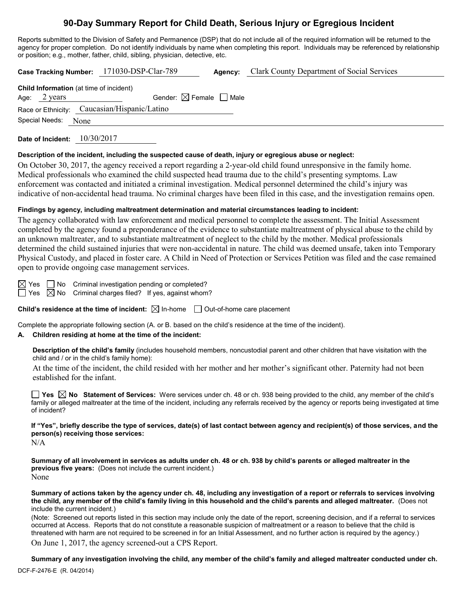# **90-Day Summary Report for Child Death, Serious Injury or Egregious Incident**

Reports submitted to the Division of Safety and Permanence (DSP) that do not include all of the required information will be returned to the agency for proper completion. Do not identify individuals by name when completing this report. Individuals may be referenced by relationship or position; e.g., mother, father, child, sibling, physician, detective, etc.

|                                              | Case Tracking Number: 171030-DSP-Clar-789 | Agency: | <b>Clark County Department of Social Services</b> |  |  |  |  |
|----------------------------------------------|-------------------------------------------|---------|---------------------------------------------------|--|--|--|--|
| Child Information (at time of incident)      |                                           |         |                                                   |  |  |  |  |
| Age: $2 \text{ years}$                       | Gender: $\boxtimes$ Female $\Box$ Male    |         |                                                   |  |  |  |  |
| Race or Ethnicity: Caucasian/Hispanic/Latino |                                           |         |                                                   |  |  |  |  |
| Special Needs: None                          |                                           |         |                                                   |  |  |  |  |
|                                              |                                           |         |                                                   |  |  |  |  |

**Date of Incident:** 10/30/2017

#### **Description of the incident, including the suspected cause of death, injury or egregious abuse or neglect:**

On October 30, 2017, the agency received a report regarding a 2-year-old child found unresponsive in the family home. Medical professionals who examined the child suspected head trauma due to the child's presenting symptoms. Law enforcement was contacted and initiated a criminal investigation. Medical personnel determined the child's injury was indicative of non-accidental head trauma. No criminal charges have been filed in this case, and the investigation remains open.

## **Findings by agency, including maltreatment determination and material circumstances leading to incident:**

The agency collaborated with law enforcement and medical personnel to complete the assessment. The Initial Assessment completed by the agency found a preponderance of the evidence to substantiate maltreatment of physical abuse to the child by an unknown maltreater, and to substantiate maltreatment of neglect to the child by the mother. Medical professionals determined the child sustained injuries that were non-accidental in nature. The child was deemed unsafe, taken into Temporary Physical Custody, and placed in foster care. A Child in Need of Protection or Services Petition was filed and the case remained open to provide ongoing case management services.

 $\boxtimes$  Yes  $\Box$  No Criminal investigation pending or completed?  $\Box$  Yes  $\boxtimes$  No Criminal charges filed? If yes, against whom?

**Child's residence at the time of incident:**  $\boxtimes$  In-home  $\Box$  Out-of-home care placement

Complete the appropriate following section (A. or B. based on the child's residence at the time of the incident).

## **A. Children residing at home at the time of the incident:**

**Description of the child's family** (includes household members, noncustodial parent and other children that have visitation with the child and / or in the child's family home):

At the time of the incident, the child resided with her mother and her mother's significant other. Paternity had not been established for the infant.

**Yes No Statement of Services:** Were services under ch. 48 or ch. 938 being provided to the child, any member of the child's family or alleged maltreater at the time of the incident, including any referrals received by the agency or reports being investigated at time of incident?

**If "Yes", briefly describe the type of services, date(s) of last contact between agency and recipient(s) of those services, and the person(s) receiving those services:**

N/A

**Summary of all involvement in services as adults under ch. 48 or ch. 938 by child's parents or alleged maltreater in the previous five years:** (Does not include the current incident.) None

**Summary of actions taken by the agency under ch. 48, including any investigation of a report or referrals to services involving the child, any member of the child's family living in this household and the child's parents and alleged maltreater.** (Does not include the current incident.)

(Note: Screened out reports listed in this section may include only the date of the report, screening decision, and if a referral to services occurred at Access. Reports that do not constitute a reasonable suspicion of maltreatment or a reason to believe that the child is threatened with harm are not required to be screened in for an Initial Assessment, and no further action is required by the agency.)

On June 1, 2017, the agency screened-out a CPS Report.

**Summary of any investigation involving the child, any member of the child's family and alleged maltreater conducted under ch.**